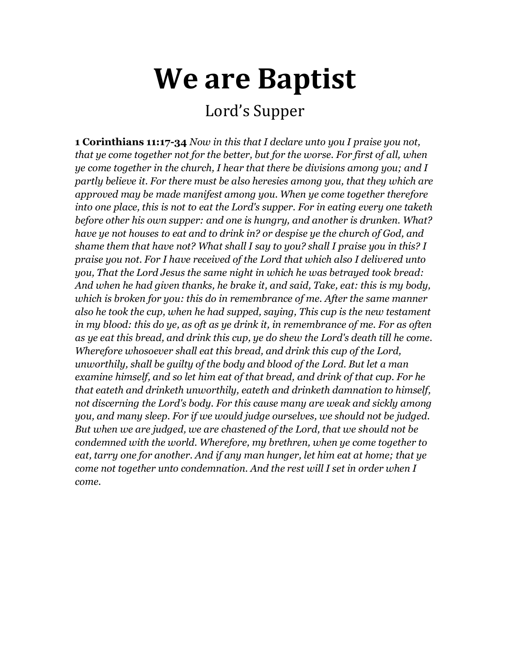# **We are Baptist**

# Lord's Supper

**1 Corinthians 11:17-34** *Now in this that I declare unto you I praise you not, that ye come together not for the better, but for the worse. For first of all, when ye come together in the church, I hear that there be divisions among you; and I partly believe it. For there must be also heresies among you, that they which are approved may be made manifest among you. When ye come together therefore into one place, this is not to eat the Lord's supper. For in eating every one taketh before other his own supper: and one is hungry, and another is drunken. What? have ye not houses to eat and to drink in? or despise ye the church of God, and shame them that have not? What shall I say to you? shall I praise you in this? I praise you not. For I have received of the Lord that which also I delivered unto you, That the Lord Jesus the same night in which he was betrayed took bread: And when he had given thanks, he brake it, and said, Take, eat: this is my body, which is broken for you: this do in remembrance of me. After the same manner also he took the cup, when he had supped, saying, This cup is the new testament in my blood: this do ye, as oft as ye drink it, in remembrance of me. For as often as ye eat this bread, and drink this cup, ye do shew the Lord's death till he come. Wherefore whosoever shall eat this bread, and drink this cup of the Lord, unworthily, shall be guilty of the body and blood of the Lord. But let a man examine himself, and so let him eat of that bread, and drink of that cup. For he that eateth and drinketh unworthily, eateth and drinketh damnation to himself, not discerning the Lord's body. For this cause many are weak and sickly among you, and many sleep. For if we would judge ourselves, we should not be judged. But when we are judged, we are chastened of the Lord, that we should not be condemned with the world. Wherefore, my brethren, when ye come together to eat, tarry one for another. And if any man hunger, let him eat at home; that ye come not together unto condemnation. And the rest will I set in order when I come.*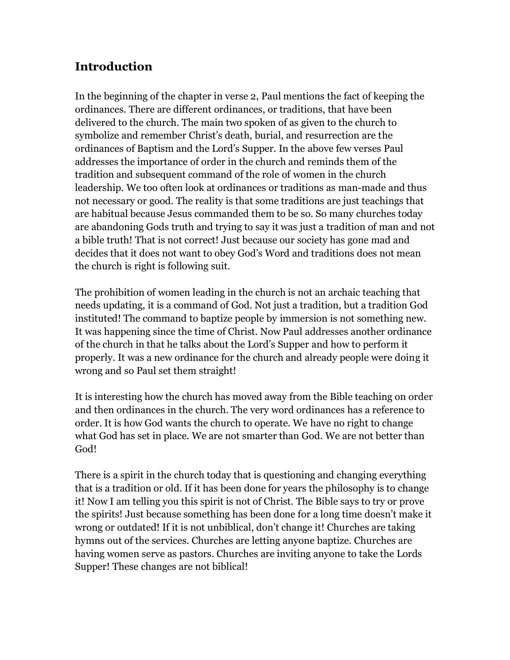## **Introduction**

In the beginning of the chapter in verse 2, Paul mentions the fact of keeping the ordinances. There are different ordinances, or traditions, that have been delivered to the church. The main two spoken of as given to the church to symbolize and remember Christ's death, burial, and resurrection are the ordinances of Baptism and the Lord's Supper. In the above few verses Paul addresses the importance of order in the church and reminds them of the tradition and subsequent command of the role of women in the church leadership. We too often look at ordinances or traditions as man-made and thus not necessary or good. The reality is that some traditions are just teachings that are habitual because Jesus commanded them to be so. So many churches today are abandoning Gods truth and trying to say it was just a tradition of man and not a bible truth! That is not correct! Just because our society has gone mad and decides that it does not want to obey God's Word and traditions does not mean the church is right is following suit.

The prohibition of women leading in the church is not an archaic teaching that needs updating, it is a command of God. Not just a tradition, but a tradition God instituted! The command to baptize people by immersion is not something new. It was happening since the time of Christ. Now Paul addresses another ordinance of the church in that he talks about the Lord's Supper and how to perform it properly. It was a new ordinance for the church and already people were doing it wrong and so Paul set them straight!

It is interesting how the church has moved away from the Bible teaching on order and then ordinances in the church. The very word ordinances has a reference to order. It is how God wants the church to operate. We have no right to change what God has set in place. We are not smarter than God. We are not better than God!

There is a spirit in the church today that is questioning and changing everything that is a tradition or old. If it has been done for years the philosophy is to change it! Now I am telling you this spirit is not of Christ. The Bible says to try or prove the spirits! Just because something has been done for a long time doesn't make it wrong or outdated! If it is not unbiblical, don't change it! Churches are taking hymns out of the services. Churches are letting anyone baptize. Churches are having women serve as pastors. Churches are inviting anyone to take the Lords Supper! These changes are not biblical!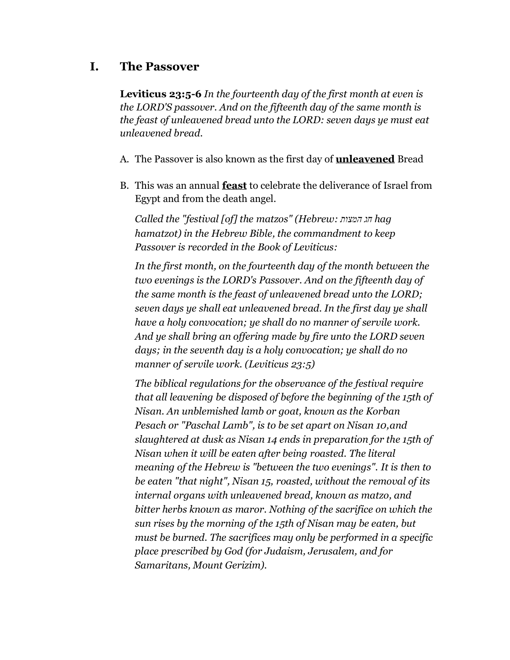#### **I. The Passover**

**Leviticus 23:5-6** *In the fourteenth day of the first month at even is the LORD'S passover. And on the fifteenth day of the same month is the feast of unleavened bread unto the LORD: seven days ye must eat unleavened bread.*

- A. The Passover is also known as the first day of **unleavened** Bread
- B. This was an annual **feast** to celebrate the deliverance of Israel from Egypt and from the death angel.

*Called the "festival [of] the [matzos"](http://en.wikipedia.org/wiki/Matzo) (Hebrew: המצות חג hag hamatzot) in the [Hebrew Bible,](http://en.wikipedia.org/wiki/Hebrew_Bible) the commandment to keep Passover is recorded in the [Book of Leviticus:](http://en.wikipedia.org/wiki/Book_of_Leviticus)*

*In the first month, on the fourteenth day of the month between the two evenings is the LORD's Passover. And on the fifteenth day of the same month is the feast of unleavened bread unto the LORD; seven days ye shall eat unleavened bread. In the first day ye shall have a holy convocation; ye shall do no manner of servile work. And ye shall bring an offering made by fire unto the LORD seven days; in the seventh day is a holy convocation; ye shall do no manner of servile work. [\(Leviticus 23:5\)](http://tools.wmflabs.org/bibleversefinder/?book=Leviticus&verse=23:5&src=HE)*

*The biblical regulations for the observance of the festival require that all leavening be disposed of before the beginning of the 15th of Nisan. An unblemished lamb or goat, known as the [Korban](http://en.wikipedia.org/wiki/Korban_Pesach)  [Pesach](http://en.wikipedia.org/wiki/Korban_Pesach) or "Paschal Lamb", is to be set apart on Nisan 10,and slaughtered at dusk as Nisan 14 ends in preparation for the 15th of Nisan when it will be eaten after being roasted. The literal meaning of the Hebrew is "between the two evenings". It is then to be eaten "that night", Nisan 15, roasted, without the removal of its internal organs with unleavened bread, known as [matzo,](http://en.wikipedia.org/wiki/Matzo) and bitter herbs known as [maror.](http://en.wikipedia.org/wiki/Maror) Nothing of the sacrifice on which the sun rises by the morning of the 15th of Nisan may be eaten, but must be burned. The sacrifices may only be performed in a specific place prescribed by God (for Judaism, Jerusalem, and for Samaritans, Mount Gerizim).*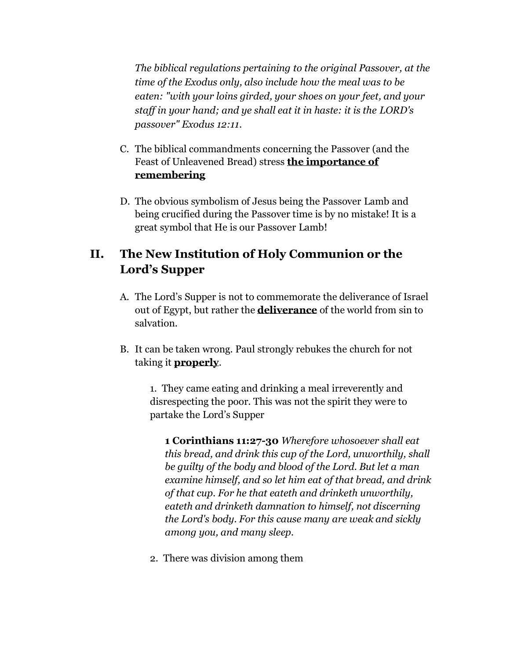*The biblical regulations pertaining to the original Passover, at the time of the Exodus only, also include how the meal was to be eaten: "with your loins girded, your shoes on your feet, and your staff in your hand; and ye shall eat it in haste: it is the [LORD'](http://en.wikipedia.org/wiki/Names_of_God_in_Judaism)s passover" [Exodus 12:11.](http://tools.wmflabs.org/bibleversefinder/?book=Exodus&verse=12:11&src=HE)*

- C. The biblical commandments concerning the Passover (and the Feast of Unleavened Bread) stress **the importance of remembering**
- D. The obvious symbolism of Jesus being the Passover Lamb and being crucified during the Passover time is by no mistake! It is a great symbol that He is our Passover Lamb!

## **II. The New Institution of Holy Communion or the Lord's Supper**

- A. The Lord's Supper is not to commemorate the deliverance of Israel out of Egypt, but rather the **deliverance** of the world from sin to salvation.
- B. It can be taken wrong. Paul strongly rebukes the church for not taking it **properly**.

1. They came eating and drinking a meal irreverently and disrespecting the poor. This was not the spirit they were to partake the Lord's Supper

**1 Corinthians 11:27-30** *Wherefore whosoever shall eat this bread, and drink this cup of the Lord, unworthily, shall be guilty of the body and blood of the Lord. But let a man examine himself, and so let him eat of that bread, and drink of that cup. For he that eateth and drinketh unworthily, eateth and drinketh damnation to himself, not discerning the Lord's body. For this cause many are weak and sickly among you, and many sleep.*

2. There was division among them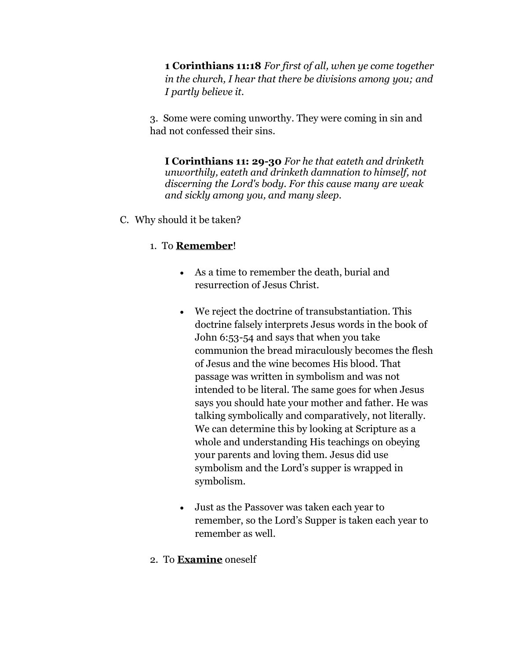**1 Corinthians 11:18** *For first of all, when ye come together in the church, I hear that there be divisions among you; and I partly believe it.*

3. Some were coming unworthy. They were coming in sin and had not confessed their sins.

**I Corinthians 11: 29-30** *For he that eateth and drinketh unworthily, eateth and drinketh damnation to himself, not discerning the Lord's body. For this cause many are weak and sickly among you, and many sleep.*

C. Why should it be taken?

#### 1. To **Remember**!

- As a time to remember the death, burial and resurrection of Jesus Christ.
- We reject the doctrine of transubstantiation. This doctrine falsely interprets Jesus words in the book of John 6:53-54 and says that when you take communion the bread miraculously becomes the flesh of Jesus and the wine becomes His blood. That passage was written in symbolism and was not intended to be literal. The same goes for when Jesus says you should hate your mother and father. He was talking symbolically and comparatively, not literally. We can determine this by looking at Scripture as a whole and understanding His teachings on obeying your parents and loving them. Jesus did use symbolism and the Lord's supper is wrapped in symbolism.
- Just as the Passover was taken each year to remember, so the Lord's Supper is taken each year to remember as well.
- 2. To **Examine** oneself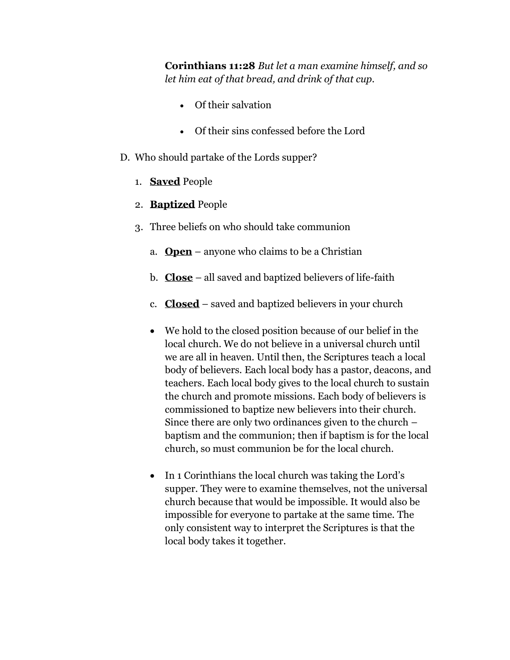**Corinthians 11:28** *But let a man examine himself, and so let him eat of that bread, and drink of that cup.*

- Of their salvation
- Of their sins confessed before the Lord
- D. Who should partake of the Lords supper?
	- 1. **Saved** People
	- 2. **Baptized** People
	- 3. Three beliefs on who should take communion
		- a. **Open** anyone who claims to be a Christian
		- b. **Close** all saved and baptized believers of life-faith
		- c. **Closed** saved and baptized believers in your church
		- We hold to the closed position because of our belief in the local church. We do not believe in a universal church until we are all in heaven. Until then, the Scriptures teach a local body of believers. Each local body has a pastor, deacons, and teachers. Each local body gives to the local church to sustain the church and promote missions. Each body of believers is commissioned to baptize new believers into their church. Since there are only two ordinances given to the church – baptism and the communion; then if baptism is for the local church, so must communion be for the local church.
		- In 1 Corinthians the local church was taking the Lord's supper. They were to examine themselves, not the universal church because that would be impossible. It would also be impossible for everyone to partake at the same time. The only consistent way to interpret the Scriptures is that the local body takes it together.